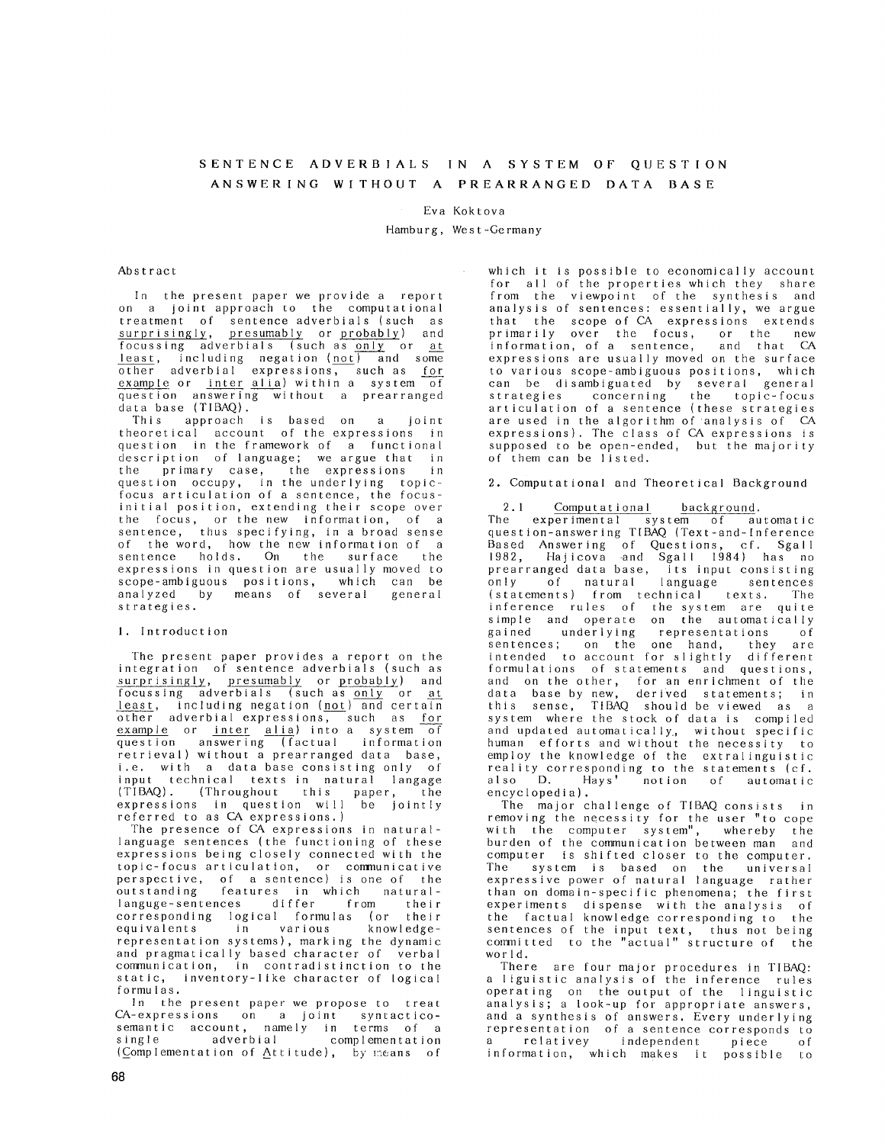# SENTENCE ADVERBIALS IN A SYSTEM OF QUESTION ANSWERING WITHOUT A PREARRANGED DATA BASE

### Eva Kokt ova

Hamburg, Wes t-Germany

## Abstract

In the present paper we provide a report on a joint approach to the computational treatment of sentence adverbials (such as surprisingly, presumably or probably) and focussing adverbials (such as only or at least, including negation (not) and some other adverbial expressions, such as for  $example$  or inter alia) within a system of question answering without a prearranged data base (TIBAQ).

This approach is based on a join theoretical account of the expressions in question in the framework of a functional description of language; we argue that in the primary case, the expressions in question occupy, in the underlying topicfocus articulation of a sentence, the focusinitial position, extending their scope over the focus, or the new information, of a sentence, thus specifying, in a broad sense of the word, how the new information of a sentence holds. On the surface the expressions in question are usually moved to scope-ambiguous positions, which can be analyzed by means of several general strategies.

#### 1. Introduction

The present paper provides a report on the integration of sentence adverbials (such as surprisingly, presumably or probably) and focussing adverbials (such as only or at least, including negation (not) and certain other adverbial expressions, such as for example or inter alia) into a system of question answering (factual informatio retrieval) without a prearranged data base, i.e. with a data base consisting only of input technical texts in natural langage (TIBAQ). (Throughout this paper, the expressions in question will be jointl referred to as CA expressions.)

The presence of CA expressions in naturallanguage sentences (the functioning of these expressions being closely connected with the topic-focus articulation, or communicative perspective, of a sentence) is one of the<br>outstanding features in which outstanding features in which natura languge-sentences differ from thei corresponding logical formulas (or their equivalents in various representation systems), marking the dynamic and pragmatically based character of verbal communication, in contradistinction to the static, inventory-like character of logical formulas.

In the present paper we propose to treat CA-expressions on a joint syntacti semantic account, namely in terms of a single adverbial complementati (Complementation of Attitude), by means of which it is possible to economically account for all of the properties which they share from the viewpoint of the synthesis and analysis of sentences: essentially, we argue that the scope-of-CA expressions extend primarily over the focus, or the new information, of a sentence, and that CA expressions are usually moved on the surface to various scope-ambiguous positions, which can be disambiguated by several general strategies concerning the topic-foc articulation of a sentence (these strategies are used in the algorithm of analysis of CA expressions). The class of CA expressions is supposed to be open-ended, but the majority of them can be listed.

2. Computational and Theoretical Background

2.1 <u>Computational</u> background.<br>e experimental system of automatic The experimental system of automati question-answering TIBAQ (Text-and-Infere Based Answering of Questions, cf, Sgall 1982, Hajicova and Sgall 1984) has no prearranged data base, its input consisting only of natural language sentence (statements) from technical texts. The inference rules of the system are quite simple and operate on the automatically<br>gained underlying representations of underlying representations of sentences; on the one hand, they are intended to account for slightly differe formulations of statements and question and on the other, for an enrichment of the data base by new, derived statements; in this sense, T1BAQ should be viewed as a system where the stock of data is compiled and updated automatically., without specific human efforts and without the necessity to employ the knowledge of the extralinguistic reality corresponding to the statements (cf. also D. Hays' notion of automatic encyclopedia).

The major challenge of TIBAQ consists in removing the necessity for the user "to cope with the computer system", whereby the burden of the communication between man and computer is shifted closer to the computer. The system is based on the universal expressive power of natural language rather than on domain-specific phenomena; the first experiments dispense with the analysis of the factual knowledge corresponding to the sentences of the input text, thus not being committed to the "actual" structure of the world.

There are four major procedures in TIBAQ: a liguistic analysis of the inference rules operating on the output of the linguistic analysis; a look-up for appropriate answers, and a synthesis of answers. Every underlying representation of a sentence corresponds to a relativey independent piece of information, which makes it possible to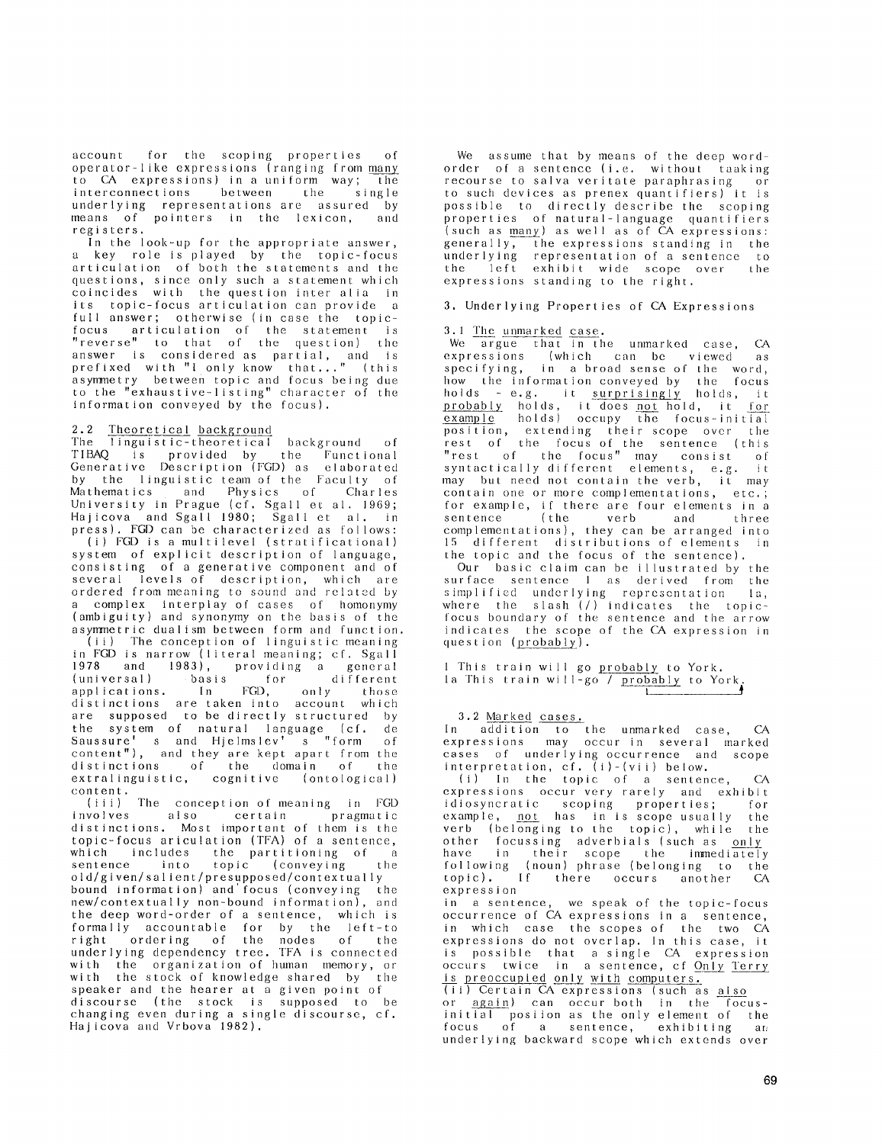account for the scoping properties of operator-like expressions (ranging from to CA expressions) in a uniform way; the interconnections between the single underlying representations are assured by means of pointers in the lexicon, registers.

In the look-up for the appropriate answer, a key role is played by the topic-focus articulation of both the statements and the questions, since only such a statement which coincides with the question inter alia in its topic-focus articulation can provide a full answer; otherwise (in case the topicfocus articulation of the statement is "reverse" to that of the quest ion) the answer is considered as partial, and is prefixed with "I only know that..." (thi asymmetry between topic and focus being due to the "exhaustive-listing" character of the information conveyed by the focus).

#### 2.2 <u>Theoretical</u> background

The linguistic-theoretical background of TIBAQ is provided by the Functional Generative Description (FGD) as elaborated by the linguistic team of the Faculty of Mathematics and Physics of Charles University in Prague (cf. Sgall et al. 1969; Hajicova and Sgall 1980; SgalI et al. in press). FGD can be characterized as follows:

(i) FGD is a multilevel (stratificational) system of explicit description of language, consisting of a generative component and of several levels of description, which are ordered from meaning to sound and related by a complex interplay of cases of homonymy (ambiguity} and synonymy on the basis of the asymmetric dualism between form and function. (ii) The conception of linguistic meaning in FGD is narrow (literal meaning; cf. Sgall 1978 and 1983), providing a general<br>(universal) basis for different (universal) basis for different<br>applications. In FGD, only those applications. In FGD, only those distinctions are taken into account which are supposed to be directly structured by the system of natural language (cf. de Saussure' s and Hjelmslev' s "form of content"), and they are kept apart from the distinctions of the domain of the extralinguistic, cognitive (ontological)

content. (iii) ]'lie conception of meaning in FGD involves also certain pragmatic distinctions. Most important of them is the topic-focus ariculation (TFA) of a sentence, which includes the partitioning of a sentence into topic (conveying the old/given/salient/presupposed/contextually bound information) and focus (conveying the new/contextually non-bound information), and the deep word-order of a sentence, which is formally accountable for by the left-t right ordering of the nodes of the underlying dependency tree. TFA is connecte with the organization of human memory, or with the stock of knowledge shared by the speaker and the hearer at a given point of discourse (the stock is supposed to be changing even during a single discourse, cf. Hajicova and Vrbova 1982).

We assume that by means of the deep wordorder of a sentence (i.e. without taaking recourse to salva veritate paraphrasing or to such devices as prenex quantifiers) it is possible to directly describe the scoping properties of natural-language quantifiers (such as many) as well as of CA expressions: general ly, the expressions standing in the underlying representation of a sentence to the left exhibit wide scope over the expressions standing to the right.

#### 3. Underlying Properties of CA Expressions

# 3.1 The unmarked case.

We argue that in the unmarked case, CA expressions (which can be viewed as specifying, in a broad sense of the word, how the information conveyed by the focus holds - e.g. it surprisingly holds, it probably holds, it does not hold, it for <u>example</u> holds) occupy the focus-init position, extending their scope over the rest of the focus of the sentence (this "rest of the focus" may consist of syntactically different elements, e.g. it may but need not contain the verb, it may contain one or more complementations, etc. ; for example, if there are four elements in a sentence ( the verb and three complementations), they can be arranged into 15 different distributions of elements in the topic and the focus of the sentence).

Our basic claim can be illustrated by the surface sentence 1 as derived from the simplified underlying representation la, where the slash (/) indicates the topicfocus boundary of the sentence and the arrow indicates the scope of the CA expression in question (probably).

1 This train will go probably to York. la This train will-go / probably to York. **I #** 

# 3.2 Marked cases.

In addition to the unmarked case, CA expressions may occur in several marked cases of underlying occurrence and scope interpretation, cf. (i)-(vii) below.

(i) In the topic of a sentence, CA expressions occur very rarely and exhibit idiosyncratic scoping properties; for example, <u>not</u> has in is scope-usually the verb (belonging to the topic), while the other focussing adverbials〔such as <u>only</u> have in their scope the immediately fol lowing (noun) phrase (belonging to the topic). If there occurs another CA expression

in a sentence, we speak of the topic-focus occurrence of CA expressions in a sentence, in which case the scopes of the two CA expressions do not overlap. In this case, it is possible that a-single CA expression occurs twice in a sentence, cf-Only-Terr is preoccupied only\_ with computers.

(ii) Certain CA expressions (such as also or again) can occur both in the focusinitial posiion as the only element of the focus of a sentence, exhibiting an underlying backward scope which extends over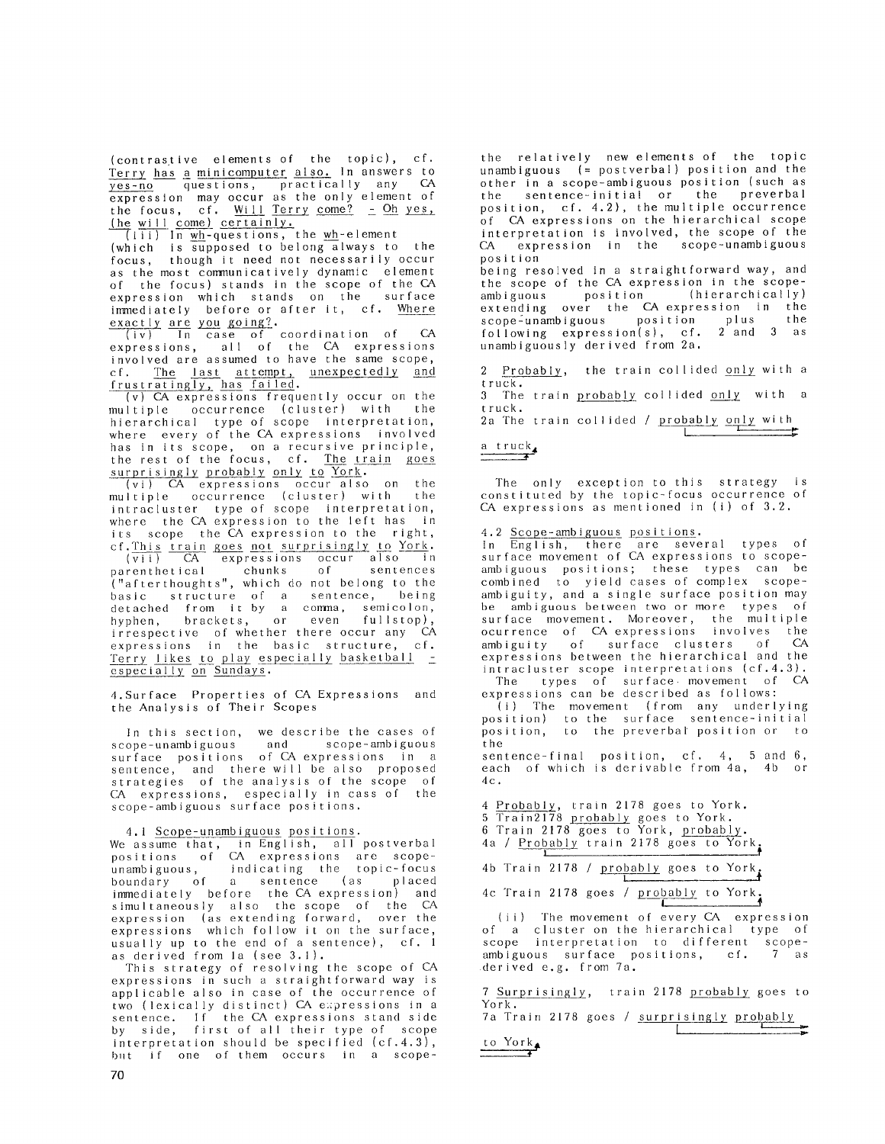(contrastive elements of the topic), cf. Terry has a minicomputer also. In answers to 2es-no questions, practically any CA expression may occur as the only element of the focus, cf. Will Terry come?  $-$  Oh yes, (he will come) certainly,

 $(iii)$  In  $wh$ -questions, the  $wh$ -element (which is supposed to belong always to the focus, though it need not necessarily occur as the most communicatively dynamic element of the focus) stands in the scope of the CA expression which stands on the surface immediately before or after it, cf. Where

exactly are you going?.<br>(iv) In case of coordination of CA expressions, all of the CA expressio involved are assumed to have the same scope, cf. The last attempt, <u>unexpectedly and</u> frustratingly, has <u>faile</u>d

(v) CA expressions frequently occur on the multiple occurrence (cluster) with the hierarchical type of scope interpretation, where every of the CA expressions involved has in its scope, on a recursive principle, the rest of the focus, cf. The train goes surprisingly probably only to York.

(vi) CA expressions occur also on the multiple occurrence (cluster) with the intracluster type of scope interpretat where the CA expression to the left has in its scope the CA expression to the right, cf. This train goes not surprisingly to York.

(vii) CA expressions occur also in parenthetical chunks of sentence ("afterthoughts", which do not belong to the basic structure of a sentence, being detached from it by a comma, semicolon, hyphen, brackets, or even fullstop), irrespective of whether there occur any CA expressions in the basic structure, cf. Terry likes to play especially basketball especially on Sundays.

4.Surface Properties of CA Expressions and the Analysis of Their Scopes

In this section, we describe the cases of scope-unambiguous and scope-ambiguo surface positions of CA expressions in a sentence, and there will be also proposed strategies of the analysis of the scope of CA expressions, especially in cass of the scope-ambiguous surface position

4.1 Scope-unambiguous positions.

We assume that, in English, all postverb positions of CA expressions are scopeunambiguous, indicating the topic-foc boundary of a sentence (as place immediately before the CA expression) and simultaneously also the scope of the CA expression (as extending forward, over the expressions which follow it on the surface, usually up to the end of a sentence), cf. 1 as derived from la (see 3.1).

This strategy of resolving the scope of CA expressions in such a straightforward way is applicable also in case of the occurrence of two (lexically distinct) CA expressions in a sentence. If the CA expressions stand side by side, first of all their type of scope interpretation should be specified (cf.4.3), but if one of them occurs in a scope-

the relatively new elements of the topic unambiguous (= postverbal) position and the other in a scope-ambiguous position (such as the sentence-initial or the preverbal position, cf. 4.2), the multiple occurrence of CA expressions on the hierarchical scope interpretation is involved, the scope of the CA expression in the scope-unambiguous position

being resolved in a straightforward way, and the scope of the CA expression in the scope-<br>ambiguous position (hierarchically) ambiguous position extending over the CA expression in the scope-unambiguous position plus the following expression(s), cf. 2 and 3 as unambiguously derived from 2a.

2 Probably, the train collided only with a truck.

3 The train probably collided only with a truck.

2a The train collided /  $\frac{\text{probability only with}}{\text{c}}$ **1** 

# a t ruck,

The only exception to this strategy is constituted by the topic-focus occurrence of CA expressions as mentioned in (i) of 3.2.

4.2 Scope-ambiguous positions.

In English, there are several types of surface movement of CA expressions to scopeambiguous positions; these types can be combined to yield cases of complex scopeambiguity, and a single surface position may be ambiguous between two or more types of surface movement. Moreover, the multipl ocurrence of CA expressions involves the ambiguity of surface clusters of CA expressions between the hierarchical and the intracluster scope interpretations (cf.4.3). The types of surface movement of CA

expressions can be described as follows: (i) The movement (from any underlying position) to the surface sentence-ini position, to the preverba[ position or to the

sentence-final position, cf. 4, 5 and 6, each of which is derivable from 4a, 4b or  $4c.$ 

4 Probably, train 2178 goes to York.

- 5 Train2178 probably goes to York.
- 6 Train 2178 goes to York, probab 4a / Probably train 2178 goes to York.

|  |  | 4b Train 2178 / probably goes to York |  |  |
|--|--|---------------------------------------|--|--|

4c Train 2178 goes / probably to York.

(ii) The movement of every CA expression of a cluster on the hierarchical type of scope interpretation to different scopeambiguous surface positions, cf. 7 as derived e.g. from 7a.

**J** 

7 Surprisingly, train 2178 probably goes to York.

7a Train 2178 goes / surprisingly probably  $\mathbf{L}$ 

to York,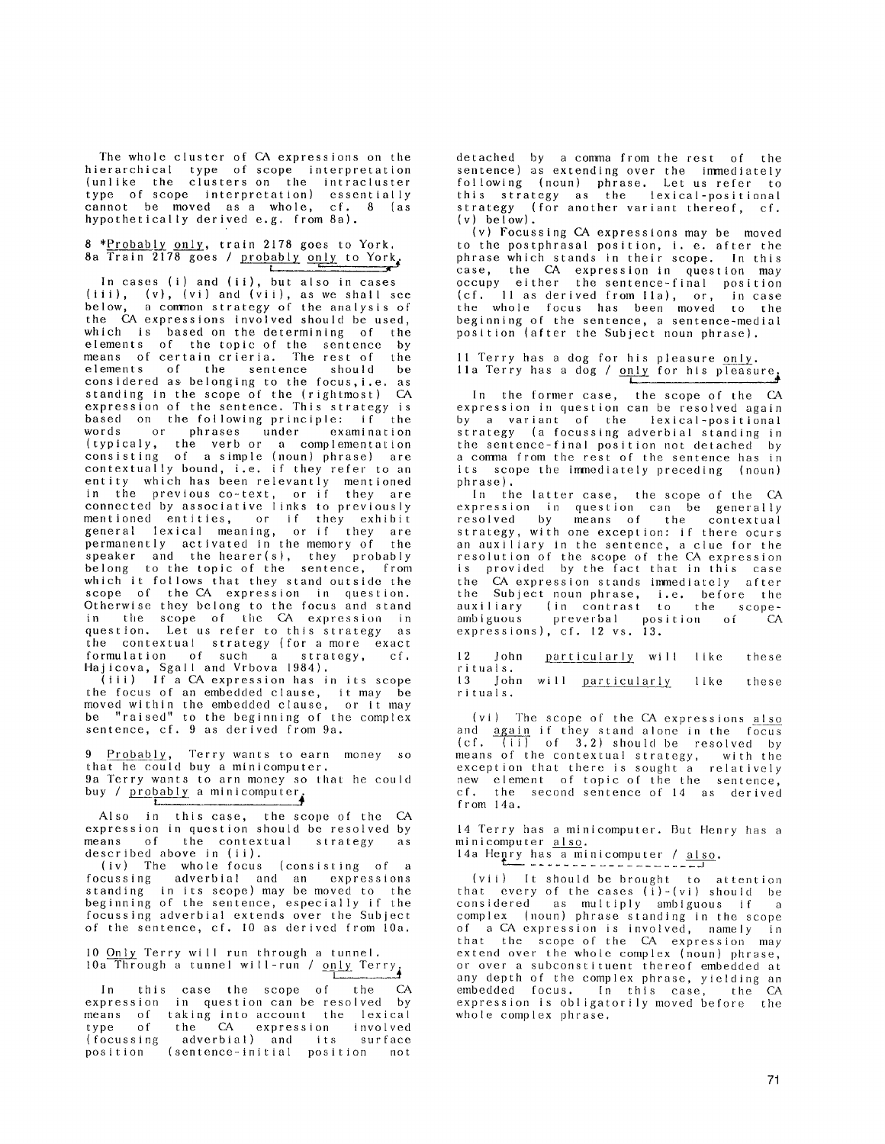The whole cluster of CA expressions on the hierarchical type of scope interpretat (unlike the clusters-on the intraclust type of scope interpretation) essentially cannot be moved as a whole, cf. 8 (as hypothetically derived e.g. from 8a).

# 8 \*Probably only, train 2178 goes to York.  $8a$  Train 2178 goes / probably only to York.

In cases (i) and (ii), but also in cases (iii), (v), (vi) and (vii), as we shall see below, a common strategy of the analysis of the CA expressions involved should be used, which is based on the determining of the elements of the topic of the sentence by means of certain crieria. The rest of the elements of the sentence should be considered as belonging to the focus,i.e, as standing in the scope of the (rightmost) CA expression of the sentence. This strategy is<br>based on the following principle: if the based on the following principle: if<br>words or phrases under examina or phrases under examination (typicaly, the verbor a complementatio consisting of a simple (noun} phrase) are contextually bound, i.e. if they refer to an entity which has been relevantly mentione in the previous co-text, or if they are connected by associative links to previousl mentioned entities, or if they exhibi general lexical meaning, or if they are permanently activated in the memory of the speaker and the hearer(s), they probably belong to the topic of the sentence, from which it follows that they stand outside the scope of the CA expression in question. Otherwise they belong to the focus and stand in the scope of the CA expression in question. Let us refer to this strategy as the contextual strategy {for a more exact formulation of such a strategy, cf. Hajicova, Sgall and Vrbova 1984).

(iii) If a CA expression has in its scope the focus of an embedded clause, it may be moved within the embedded clause, or it may be "raised" to the beginning of the complex sentence, cf. 9 as derived from 9a.

9 Probably, Terry wants to earn money so that he could buy a minicomputer. 9a Terry wants to arn money so that he could buy /  $probability$  a minicomputer.</u>

Also in this case, the scope of the CA expression in question should be resolved by means of the contextual strategy as described above in (ii).

(iv) The whole focus (consisting of a focussing adverbial and an expression standing in its scope) may be moved to the beginning of the sentence, especially if the focussing adverbial extends over the Subjec of the sentence, cf. I0 as derived from 10a.

10 Only Terry will run through a tunnel. 10  $\frac{0.111y}{10a}$  Through a tunnel will-run /  $\frac{0.11y}{1}$  Terry

In this case the scope of the CA expression in question can be resolved by means of taking into-account the lexica type of the CA expression involved (focussing adverbial) and its surface position (sentence-initial position not

detached by a comma from the rest of the sentence) as extending over the immediately following (noun) phrase. Let us refer to this strategy as the lexical-positic strategy (for another variant thereof, cf.  $(v)$  below).

(v) Focussing CA expressions may be moved to the postphrasal position, i. e. after the phrase which stands in their scope. In this case, the CA expression in question may occupy either the sentence-final positio (cf. II as derived from lla}, or, in case the whole focus has been moved to the beginning of the sentence, a sentence-medial position (after the Subject noun phrase).

11 Terry has a dog for his pleasure only. lla Terry has a dog / only for his pleasure. **t** 

In the former case, the scope of the CA expression in question can be resolved again by a variant of the lexical-positional strategy (a focussing adverbial standing in the sentence-final position not detached by a comma from the rest of the sentence has in its scope the immediately preceding (noun) phrase).

In the latter case, the scope of the CA expression in question can be generall resolved by means of the contextua strategy, with one exception: if there ocurs an auxiliary in the sentence, a clue for the resolution of the scope of the CA expression is provided by the fact that in this case the CA expression stands immediately after the Subject noun phrase, i.e. before the auxiliary (in contrast to the scopeambiguous preverbal position of CA expressions), cf. 12 vs. 13.

12 John particularly will like these rituals. 13 John will particularly like these rituals,

(vi) The scope of the CA expressions also and again if they stand alone in the focus  $(cf.$   $(iii)$  of  $3.2)$  should be resolved by means of the contextual strategy, with the exception that there is sought all relative new element of topic of the the sentence, cf. the second-sentence-of-14 as derive from 14a.

14 Terry has a minicomputer. But Henry has a minicomputer also.

14a Henry has a minicomputer / also.

(vii) It should be brought to attention that every of the cases  $(i)$ -(vi) should be considered as multiply ambiguous if a complex (noun) phrase standing in the scope of a CA expression is involved, namely in that the scope of the CA expression may extend over the whole complex (noun) phrase, or over a subconstituent thereof embedded at any depth of the complex phrase, yielding an embedded focus. In this case, the CA expression is obligatorily moved before the whole complex phrase.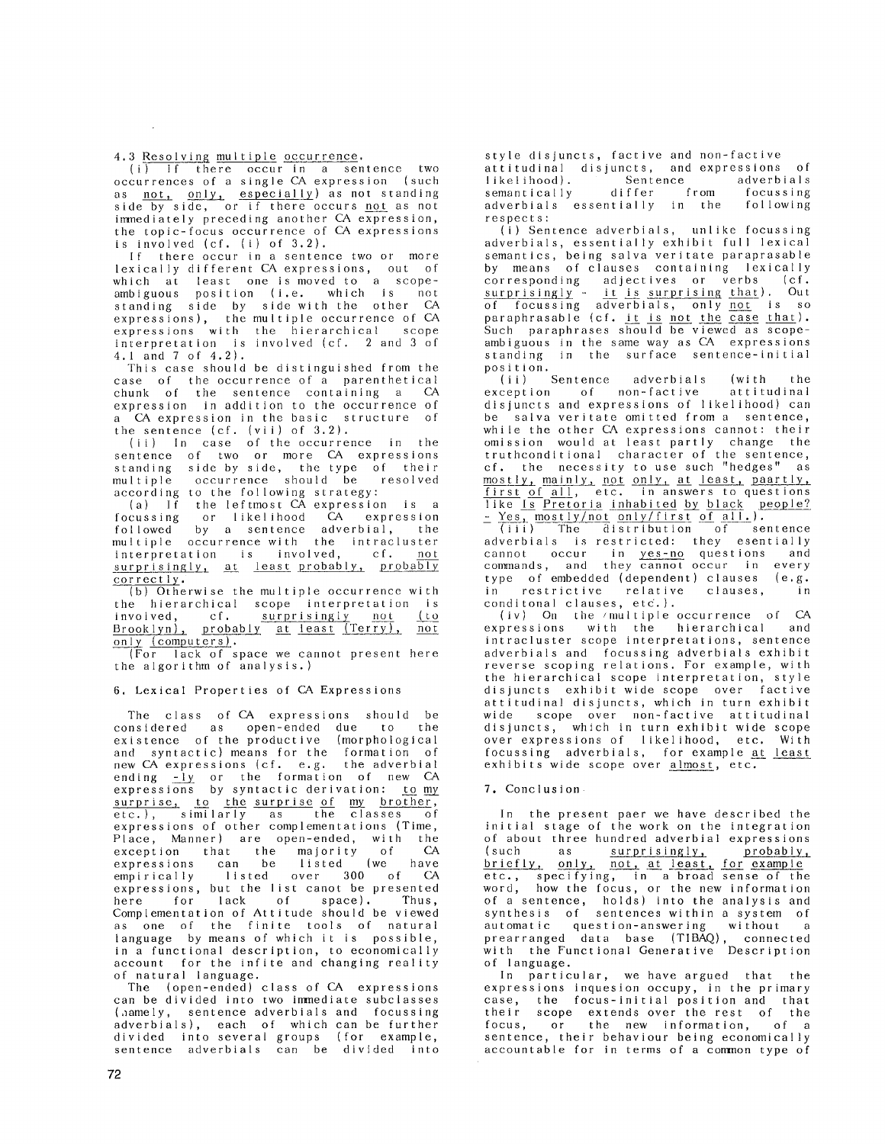4.3 Resolving multiple occurrence.

(i) If there occur in a sentence two occurrences of a single CA expression {such as <u>not, only, especially</u>) as not standin side by side, or if there occurs <u>not</u> as not immediately preceding another CA expression the topic-focus occurrence of CA expressions is involved (cf. (i) of 3.2).

If there occur in a sentence two or more lexically different CA expressions, out of which at least one is moved to a scopeambiguous position (i.e. which is not<br>standing side by sidewith the other CA standing side by side with the other expressions), the multiple occurrence of CA expressions with the hierarchical scope interpretation is involved {cf. 2 and 3 of 4.1 and 7 of 4.2).

This case should be distinguished from the case of the occurrence of a parenthetical chunk of the sentence containing a CA expression in addition to the occurrence of a CA expression in the basic structure of the sentence (cf. {vii) of 3.2).

(ii) In case of the occurrence in the sentence of two or more CA expression standing side by side, the type of their multiple occurrence should be resolve according to the following strategy:

(a) If the leftmost CA expression is a focussing or likelihood CA expressio followed by a sentence adverbial, the multiple occurrence with the intracluster<br>interpretation is involved, cf. not interpretation is involved, surprisingly, at least probably, probably correctly.

(b) Otherwise the multiple occurrence with the hierarchical scope interpretation is involved, cf. surprisingly not (to Brooklyn), probably at least (Terry), not only (computers).

(For lack of space we cannot present here the algorithm of analysis.)

# 6. Lexical Properties of CA Expressions

The class of CA expressions should be considered as open-ended due to the existence of the productive (morphologica and syntactic) means for the formation of new CA expressions (cf. e.g. the adverbial ending -ly or the formation of new CA expressions by syntactic derivation: <u>to my</u> <u>surprise, to the surprise of my brother</u> etc.}, similarly as the classes of expressions of other complementations (Time, Place, Manner) are open-ended, with the exception that the majority of CA expressions can be listed (we have empirically listed over 300 of CA expressions, but the list canot be presented here for lack of space). Thus, Complementation of Attitude should be viewed as one of the finite tools of natural language by means of which it is possible, in a functional description, to economically account for the infite and changing reality of natural language.

The (open-ended) class of CA expressions can be divided into two immediate subclasses {,lamely, sentence adverbials and focussing adverbials), each of which can be further divided into several groups (for example, sentence adverbials can be divided into

style disjuncts, factive and non-factive attitudinal disjuncts, and expressions of likelihood). Sentence adverbials semantically differ from focussing<br>adverbials essentially in the following adverbials essentially in the respects:

{i) Sentence adverbials, unlike focussing adverbials, essentially exhibit full lexical semantics, being salva veritate paraprasab by means of clauses containing lexicall corresponding adjectives or verbs (cf. surprisingly - it is surprising that). Out of focussing adverbials, only not is so paraphrasable (cf. it is not the case that). Such paraphrases should be viewed as scopeambiguous in the same way as CA expressions standing in the surface sentence-initial position.

.<br>(ii) Sentence adverbials (with the exception of non-factive attitudinal of non-factive disjuncts and expressions of likelihood} can be salva veritate omitted from a sentence, while the other CA expressions cannot: their omission would at least partly change the truthconditional character of the sentence, cf. the necessity to use such "hedges" mostly, mainly, not only, at least, paartly, first of all, etc. in answers to questions like Is Pretoria inhabited by black people? <u>- Yes, mostly/not only/first of all.</u>

(iii) The distribution of sentence adverbials is restricted: they esentially cannot occur in <u>yes-no</u> questions and commands, and they cannot occur in every type of embedded (dependent) clauses (e.g. in restrictive relative clauses, in conditonal clauses, etc.).

(iv) On the /multiple occurrence of CA expressions with the hierarchical and intracluster scope interpretations, sentence adverbials and focussing adverbials exhibit reverse scoping relations. For example, with the hierarchical scope interpretation, style disjuncts exhibit wide scope over factive attitudinal disjuncts, which in turn exhibit wide scope over non-factive attitudinal disjuncts, which in turn exhibit wide scope over expressions of likelihood, etc. With focussing adverbials, for example at least exhibits wide scope over almost, etc.

## 7. Conclusion

In the present paer we have described the initial stage of the work on the integration of about three hundred adverbial expressions<br>(such as surprisingly, probably, (such as surprisingly, briefly, only, not, at least, for example etc., specifying, in a broad sense of the word, how the focus, or the new informatic of a sentence, holds) into the analysis and synthesis of sentences within a system of automatic question-answering without a prearranged data base (TIBAQ), connecte with the Functional Generative Description of language.

In particular, we have argued that expressions inquesion occupy, in the primary case, the focus-initial position and that their scope extends over the rest of the focus, or the new information, of a sentence, their behaviour being economically accountable for in terms of a common type of